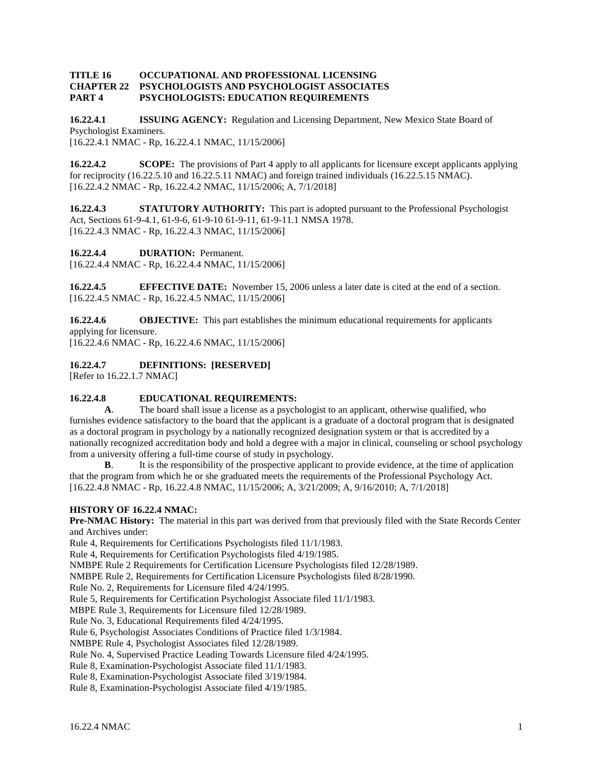## **TITLE 16 OCCUPATIONAL AND PROFESSIONAL LICENSING CHAPTER 22 PSYCHOLOGISTS AND PSYCHOLOGIST ASSOCIATES PART 4 PSYCHOLOGISTS: EDUCATION REQUIREMENTS**

**16.22.4.1 ISSUING AGENCY:** Regulation and Licensing Department, New Mexico State Board of Psychologist Examiners. [16.22.4.1 NMAC - Rp, 16.22.4.1 NMAC, 11/15/2006]

**16.22.4.2 SCOPE:** The provisions of Part 4 apply to all applicants for licensure except applicants applying for reciprocity (16.22.5.10 and 16.22.5.11 NMAC) and foreign trained individuals (16.22.5.15 NMAC). [16.22.4.2 NMAC - Rp, 16.22.4.2 NMAC, 11/15/2006; A, 7/1/2018]

**16.22.4.3 STATUTORY AUTHORITY:** This part is adopted pursuant to the Professional Psychologist Act, Sections 61-9-4.1, 61-9-6, 61-9-10 61-9-11, 61-9-11.1 NMSA 1978. [16.22.4.3 NMAC - Rp, 16.22.4.3 NMAC, 11/15/2006]

**16.22.4.4 DURATION:** Permanent.

[16.22.4.4 NMAC - Rp, 16.22.4.4 NMAC, 11/15/2006]

**16.22.4.5 EFFECTIVE DATE:** November 15, 2006 unless a later date is cited at the end of a section. [16.22.4.5 NMAC - Rp, 16.22.4.5 NMAC, 11/15/2006]

**16.22.4.6 OBJECTIVE:** This part establishes the minimum educational requirements for applicants applying for licensure.

[16.22.4.6 NMAC - Rp, 16.22.4.6 NMAC, 11/15/2006]

**16.22.4.7 DEFINITIONS: [RESERVED]**

[Refer to 16.22.1.7 NMAC]

## **16.22.4.8 EDUCATIONAL REQUIREMENTS:**

**A**. The board shall issue a license as a psychologist to an applicant, otherwise qualified, who furnishes evidence satisfactory to the board that the applicant is a graduate of a doctoral program that is designated as a doctoral program in psychology by a nationally recognized designation system or that is accredited by a nationally recognized accreditation body and hold a degree with a major in clinical, counseling or school psychology from a university offering a full-time course of study in psychology.

**B.** It is the responsibility of the prospective applicant to provide evidence, at the time of application that the program from which he or she graduated meets the requirements of the Professional Psychology Act. [16.22.4.8 NMAC - Rp, 16.22.4.8 NMAC, 11/15/2006; A, 3/21/2009; A, 9/16/2010; A, 7/1/2018]

## **HISTORY OF 16.22.4 NMAC:**

**Pre-NMAC History:** The material in this part was derived from that previously filed with the State Records Center and Archives under:

Rule 4, Requirements for Certifications Psychologists filed 11/1/1983.

Rule 4, Requirements for Certification Psychologists filed 4/19/1985.

NMBPE Rule 2 Requirements for Certification Licensure Psychologists filed 12/28/1989.

NMBPE Rule 2, Requirements for Certification Licensure Psychologists filed 8/28/1990.

Rule No. 2, Requirements for Licensure filed 4/24/1995.

Rule 5, Requirements for Certification Psychologist Associate filed 11/1/1983.

MBPE Rule 3, Requirements for Licensure filed 12/28/1989.

Rule No. 3, Educational Requirements filed 4/24/1995.

Rule 6, Psychologist Associates Conditions of Practice filed 1/3/1984.

NMBPE Rule 4, Psychologist Associates filed 12/28/1989.

Rule No. 4, Supervised Practice Leading Towards Licensure filed 4/24/1995.

Rule 8, Examination-Psychologist Associate filed 11/1/1983.

Rule 8, Examination-Psychologist Associate filed 3/19/1984.

Rule 8, Examination-Psychologist Associate filed 4/19/1985.